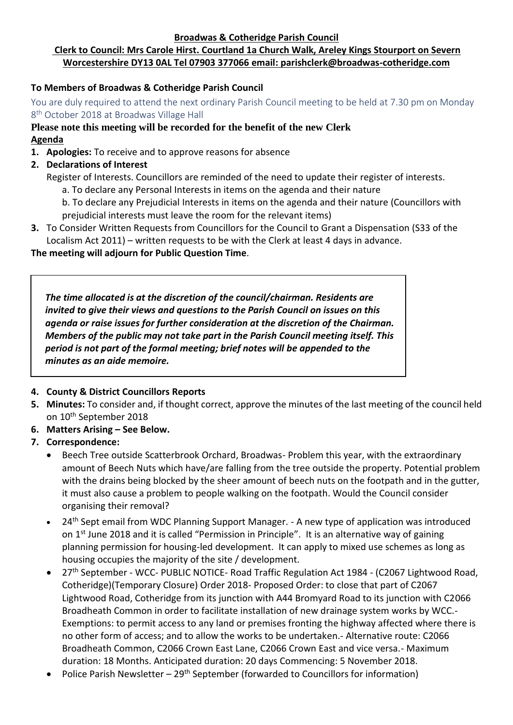**Broadwas & Cotheridge Parish Council**

# **Clerk to Council: Mrs Carole Hirst. Courtland 1a Church Walk, Areley Kings Stourport on Severn Worcestershire DY13 0AL Tel 07903 377066 email: parishclerk@broadwas-cotheridge.com**

## **To Members of Broadwas & Cotheridge Parish Council**

You are duly required to attend the next ordinary Parish Council meeting to be held at 7.30 pm on Monday 8<sup>th</sup> October 2018 at Broadwas Village Hall

## **Please note this meeting will be recorded for the benefit of the new Clerk Agenda**

- **1. Apologies:** To receive and to approve reasons for absence
- **2. Declarations of Interest**
	- Register of Interests. Councillors are reminded of the need to update their register of interests.
		- a. To declare any Personal Interests in items on the agenda and their nature
		- b. To declare any Prejudicial Interests in items on the agenda and their nature (Councillors with prejudicial interests must leave the room for the relevant items)
- **3.** To Consider Written Requests from Councillors for the Council to Grant a Dispensation (S33 of the Localism Act 2011) – written requests to be with the Clerk at least 4 days in advance.

### **The meeting will adjourn for Public Question Time**.

*The time allocated is at the discretion of the council/chairman. Residents are invited to give their views and questions to the Parish Council on issues on this agenda or raise issues for further consideration at the discretion of the Chairman. Members of the public may not take part in the Parish Council meeting itself. This period is not part of the formal meeting; brief notes will be appended to the minutes as an aide memoire.*

# **4. County & District Councillors Reports**

- **5. Minutes:** To consider and, if thought correct, approve the minutes of the last meeting of the council held on 10th September 2018
- **6. Matters Arising – See Below.**

# **7. Correspondence:**

- Beech Tree outside Scatterbrook Orchard, Broadwas- Problem this year, with the extraordinary amount of Beech Nuts which have/are falling from the tree outside the property. Potential problem with the drains being blocked by the sheer amount of beech nuts on the footpath and in the gutter, it must also cause a problem to people walking on the footpath. Would the Council consider organising their removal?
- 24<sup>th</sup> Sept email from WDC Planning Support Manager. A new type of application was introduced on 1<sup>st</sup> June 2018 and it is called "Permission in Principle". It is an alternative way of gaining planning permission for housing-led development. It can apply to mixed use schemes as long as housing occupies the majority of the site / development.
- 27<sup>th</sup> September WCC- PUBLIC NOTICE- Road Traffic Regulation Act 1984 (C2067 Lightwood Road, Cotheridge)(Temporary Closure) Order 2018- Proposed Order: to close that part of C2067 Lightwood Road, Cotheridge from its junction with A44 Bromyard Road to its junction with C2066 Broadheath Common in order to facilitate installation of new drainage system works by WCC.- Exemptions: to permit access to any land or premises fronting the highway affected where there is no other form of access; and to allow the works to be undertaken.- Alternative route: C2066 Broadheath Common, C2066 Crown East Lane, C2066 Crown East and vice versa.- Maximum duration: 18 Months. Anticipated duration: 20 days Commencing: 5 November 2018.
- Police Parish Newsletter  $29<sup>th</sup>$  September (forwarded to Councillors for information)